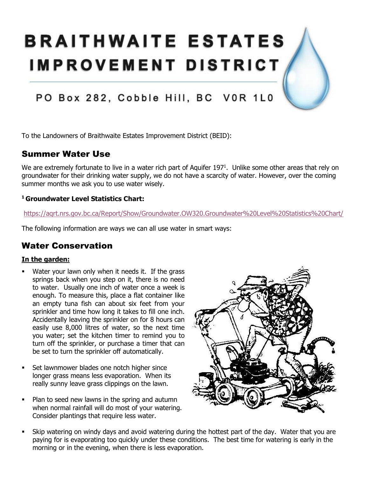# **BRAITHWAITE ESTATES IMPROVEMENT DISTRICT**

# PO Box 282, Cobble Hill, BC VOR 1L0

To the Landowners of Braithwaite Estates Improvement District (BEID):

## Summer Water Use

We are extremely fortunate to live in a water rich part of Aquifer 197<sup>1</sup>. Unlike some other areas that rely on groundwater for their drinking water supply, we do not have a scarcity of water. However, over the coming summer months we ask you to use water wisely.

#### **<sup>1</sup>Groundwater Level Statistics Chart:**

<https://aqrt.nrs.gov.bc.ca/Report/Show/Groundwater.OW320.Groundwater%20Level%20Statistics%20Chart/>

The following information are ways we can all use water in smart ways:

### Water Conservation

#### **In the garden:**

- Water your lawn only when it needs it. If the grass springs back when you step on it, there is no need to water. Usually one inch of water once a week is enough. To measure this, place a flat container like an empty tuna fish can about six feet from your sprinkler and time how long it takes to fill one inch. Accidentally leaving the sprinkler on for 8 hours can easily use 8,000 litres of water, so the next time you water; set the kitchen timer to remind you to turn off the sprinkler, or purchase a timer that can be set to turn the sprinkler off automatically.
- Set lawnmower blades one notch higher since longer grass means less evaporation. When its really sunny leave grass clippings on the lawn.
- Plan to seed new lawns in the spring and autumn when normal rainfall will do most of your watering. Consider plantings that require less water.



• Skip watering on windy days and avoid watering during the hottest part of the day. Water that you are paying for is evaporating too quickly under these conditions. The best time for watering is early in the morning or in the evening, when there is less evaporation.